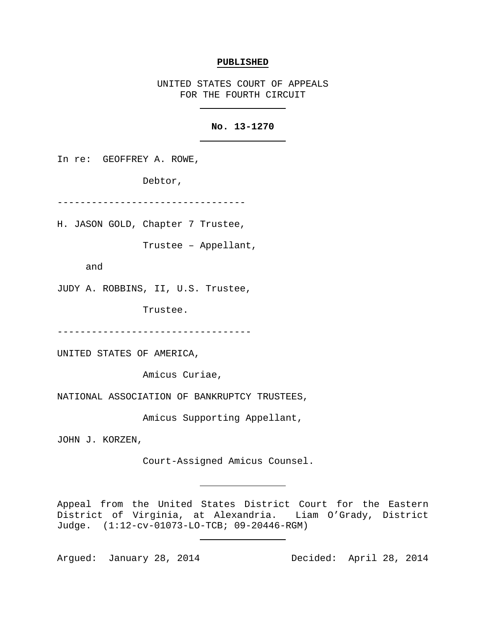#### **PUBLISHED**

UNITED STATES COURT OF APPEALS FOR THE FOURTH CIRCUIT

# **No. 13-1270**

In re: GEOFFREY A. ROWE,

Debtor,

---------------------------------

H. JASON GOLD, Chapter 7 Trustee,

Trustee – Appellant,

and

JUDY A. ROBBINS, II, U.S. Trustee,

Trustee.

----------------------------------

UNITED STATES OF AMERICA,

Amicus Curiae,

NATIONAL ASSOCIATION OF BANKRUPTCY TRUSTEES,

Amicus Supporting Appellant,

JOHN J. KORZEN,

Court-Assigned Amicus Counsel.

Appeal from the United States District Court for the Eastern<br>District of Virginia, at Alexandria. Liam O'Grady, District District of Virginia, at Alexandria. Judge. (1:12-cv-01073-LO-TCB; 09-20446-RGM)

Argued: January 28, 2014 Decided: April 28, 2014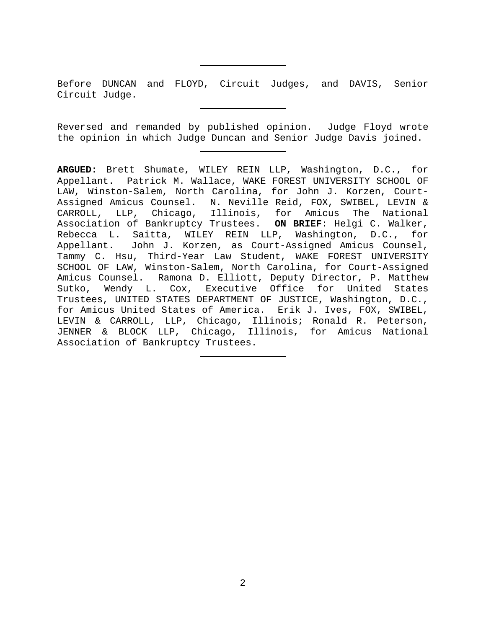Before DUNCAN and FLOYD, Circuit Judges, and DAVIS, Senior Circuit Judge.

Reversed and remanded by published opinion. Judge Floyd wrote the opinion in which Judge Duncan and Senior Judge Davis joined.

**ARGUED**: Brett Shumate, WILEY REIN LLP, Washington, D.C., for Appellant. Patrick M. Wallace, WAKE FOREST UNIVERSITY SCHOOL OF LAW, Winston-Salem, North Carolina, for John J. Korzen, Court-Assigned Amicus Counsel. N. Neville Reid, FOX, SWIBEL, LEVIN & CARROLL, LLP, Chicago, Illinois, for Amicus The National Association of Bankruptcy Trustees. **ON BRIEF**: Helgi C. Walker, Rebecca L. Saitta, WILEY REIN LLP, Washington, D.C., for<br>Appellant. John J. Korzen, as Court-Assigned Amicus Counsel, John J. Korzen, as Court-Assigned Amicus Counsel, Tammy C. Hsu, Third-Year Law Student, WAKE FOREST UNIVERSITY SCHOOL OF LAW, Winston-Salem, North Carolina, for Court-Assigned Amicus Counsel. Ramona D. Elliott, Deputy Director, P. Matthew Sutko, Wendy L. Cox, Executive Office for United States Trustees, UNITED STATES DEPARTMENT OF JUSTICE, Washington, D.C., for Amicus United States of America. Erik J. Ives, FOX, SWIBEL, LEVIN & CARROLL, LLP, Chicago, Illinois; Ronald R. Peterson, JENNER & BLOCK LLP, Chicago, Illinois, for Amicus National Association of Bankruptcy Trustees.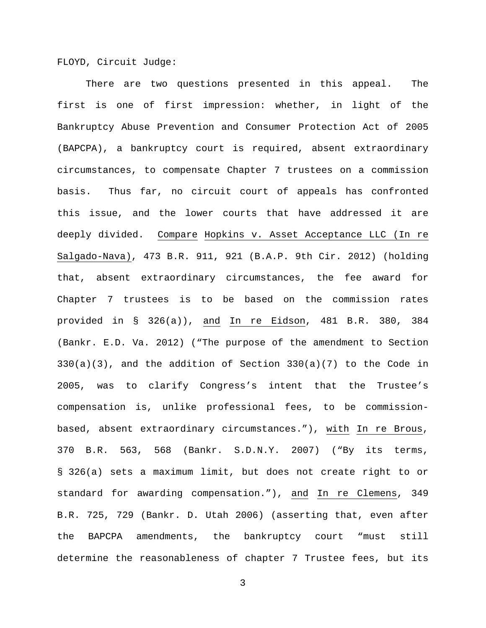FLOYD, Circuit Judge:

There are two questions presented in this appeal. The first is one of first impression: whether, in light of the Bankruptcy Abuse Prevention and Consumer Protection Act of 2005 (BAPCPA), a bankruptcy court is required, absent extraordinary circumstances, to compensate Chapter 7 trustees on a commission basis. Thus far, no circuit court of appeals has confronted this issue, and the lower courts that have addressed it are deeply divided. Compare Hopkins v. Asset Acceptance LLC (In re Salgado-Nava), 473 B.R. 911, 921 (B.A.P. 9th Cir. 2012) (holding that, absent extraordinary circumstances, the fee award for Chapter 7 trustees is to be based on the commission rates provided in § 326(a)), and In re Eidson, 481 B.R. 380, 384 (Bankr. E.D. Va. 2012) ("The purpose of the amendment to Section  $330(a)(3)$ , and the addition of Section  $330(a)(7)$  to the Code in 2005, was to clarify Congress's intent that the Trustee's compensation is, unlike professional fees, to be commissionbased, absent extraordinary circumstances."), with In re Brous, 370 B.R. 563, 568 (Bankr. S.D.N.Y. 2007) ("By its terms, § 326(a) sets a maximum limit, but does not create right to or standard for awarding compensation."), and In re Clemens, 349 B.R. 725, 729 (Bankr. D. Utah 2006) (asserting that, even after the BAPCPA amendments, the bankruptcy court "must still determine the reasonableness of chapter 7 Trustee fees, but its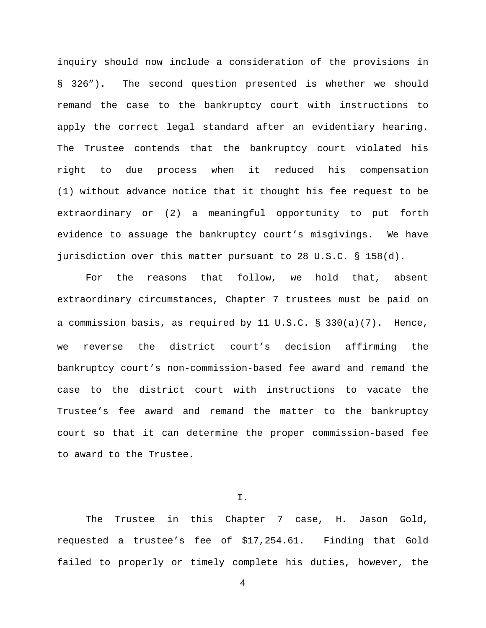inquiry should now include a consideration of the provisions in § 326"). The second question presented is whether we should remand the case to the bankruptcy court with instructions to apply the correct legal standard after an evidentiary hearing. The Trustee contends that the bankruptcy court violated his right to due process when it reduced his compensation (1) without advance notice that it thought his fee request to be extraordinary or (2) a meaningful opportunity to put forth evidence to assuage the bankruptcy court's misgivings. We have jurisdiction over this matter pursuant to 28 U.S.C. § 158(d).

For the reasons that follow, we hold that, absent extraordinary circumstances, Chapter 7 trustees must be paid on a commission basis, as required by 11 U.S.C. § 330(a)(7). Hence, we reverse the district court's decision affirming the bankruptcy court's non-commission-based fee award and remand the case to the district court with instructions to vacate the Trustee's fee award and remand the matter to the bankruptcy court so that it can determine the proper commission-based fee to award to the Trustee.

I.

The Trustee in this Chapter 7 case, H. Jason Gold, requested a trustee's fee of \$17,254.61. Finding that Gold failed to properly or timely complete his duties, however, the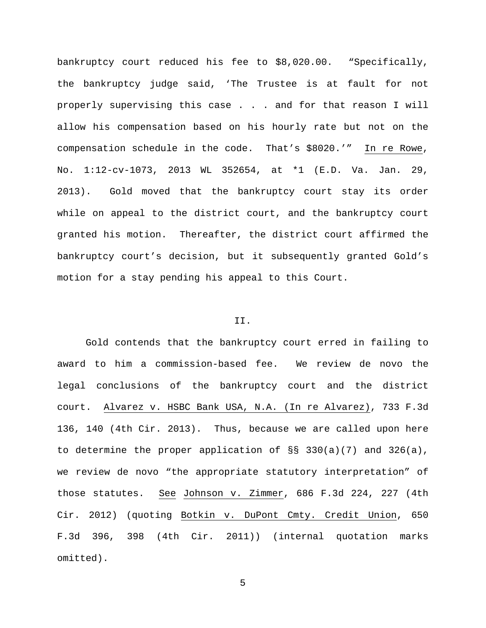bankruptcy court reduced his fee to \$8,020.00. "Specifically, the bankruptcy judge said, 'The Trustee is at fault for not properly supervising this case . . . and for that reason I will allow his compensation based on his hourly rate but not on the compensation schedule in the code. That's \$8020.'" In re Rowe, No. 1:12-cv-1073, 2013 WL 352654, at \*1 (E.D. Va. Jan. 29, 2013). Gold moved that the bankruptcy court stay its order while on appeal to the district court, and the bankruptcy court granted his motion. Thereafter, the district court affirmed the bankruptcy court's decision, but it subsequently granted Gold's motion for a stay pending his appeal to this Court.

# II.

Gold contends that the bankruptcy court erred in failing to award to him a commission-based fee. We review de novo the legal conclusions of the bankruptcy court and the district court. Alvarez v. HSBC Bank USA, N.A. (In re Alvarez), 733 F.3d 136, 140 (4th Cir. 2013). Thus, because we are called upon here to determine the proper application of  $\S$ § 330(a)(7) and 326(a), we review de novo "the appropriate statutory interpretation" of those statutes. See Johnson v. Zimmer, 686 F.3d 224, 227 (4th Cir. 2012) (quoting Botkin v. DuPont Cmty. Credit Union, 650 F.3d 396, 398 (4th Cir. 2011)) (internal quotation marks omitted).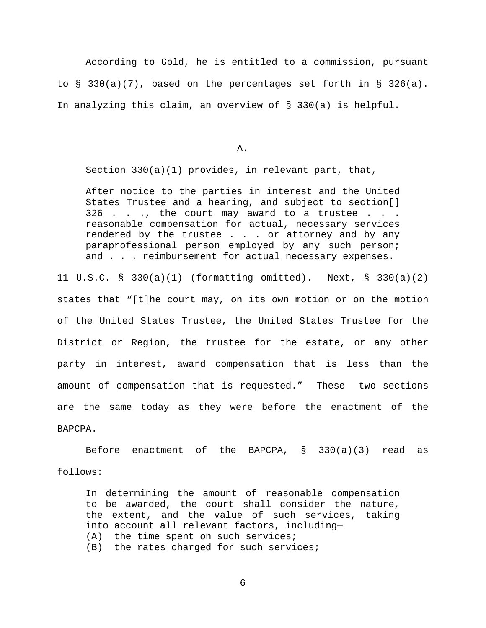According to Gold, he is entitled to a commission, pursuant to  $\S$  330(a)(7), based on the percentages set forth in  $\S$  326(a). In analyzing this claim, an overview of § 330(a) is helpful.

A.

Section 330(a)(1) provides, in relevant part, that,

After notice to the parties in interest and the United States Trustee and a hearing, and subject to section[] 326 . . ., the court may award to a trustee . . . reasonable compensation for actual, necessary services rendered by the trustee . . . or attorney and by any paraprofessional person employed by any such person; and . . . reimbursement for actual necessary expenses.

11 U.S.C. § 330(a)(1) (formatting omitted). Next, § 330(a)(2) states that "[t]he court may, on its own motion or on the motion of the United States Trustee, the United States Trustee for the District or Region, the trustee for the estate, or any other party in interest, award compensation that is less than the amount of compensation that is requested." These two sections are the same today as they were before the enactment of the BAPCPA.

Before enactment of the BAPCPA, § 330(a)(3) read as follows:

In determining the amount of reasonable compensation to be awarded, the court shall consider the nature, the extent, and the value of such services, taking into account all relevant factors, including— (A) the time spent on such services; (B) the rates charged for such services;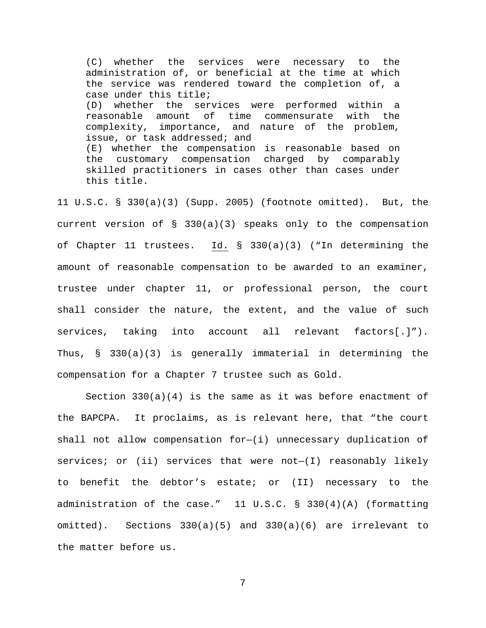(C) whether the services were necessary to the administration of, or beneficial at the time at which the service was rendered toward the completion of, a case under this title; (D) whether the services were performed within a reasonable amount of time commensurate with the complexity, importance, and nature of the problem, issue, or task addressed; and (E) whether the compensation is reasonable based on the customary compensation charged by comparably skilled practitioners in cases other than cases under this title.

11 U.S.C. § 330(a)(3) (Supp. 2005) (footnote omitted). But, the current version of § 330(a)(3) speaks only to the compensation of Chapter 11 trustees. Id. § 330(a)(3) ("In determining the amount of reasonable compensation to be awarded to an examiner, trustee under chapter 11, or professional person, the court shall consider the nature, the extent, and the value of such services, taking into account all relevant factors[.]"). Thus, § 330(a)(3) is generally immaterial in determining the compensation for a Chapter 7 trustee such as Gold.

Section  $330(a)(4)$  is the same as it was before enactment of the BAPCPA. It proclaims, as is relevant here, that "the court shall not allow compensation for—(i) unnecessary duplication of services; or (ii) services that were  $not-(I)$  reasonably likely to benefit the debtor's estate; or (II) necessary to the administration of the case." 11 U.S.C. § 330(4)(A) (formatting omitted). Sections 330(a)(5) and 330(a)(6) are irrelevant to the matter before us.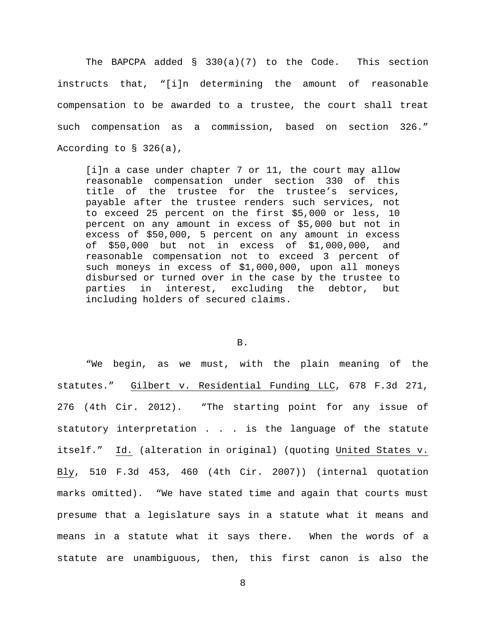The BAPCPA added § 330(a)(7) to the Code. This section instructs that, "[i]n determining the amount of reasonable compensation to be awarded to a trustee, the court shall treat such compensation as a commission, based on section 326." According to § 326(a),

[i]n a case under chapter 7 or 11, the court may allow reasonable compensation under section 330 of this title of the trustee for the trustee's services, payable after the trustee renders such services, not to exceed 25 percent on the first \$5,000 or less, 10 percent on any amount in excess of \$5,000 but not in excess of \$50,000, 5 percent on any amount in excess of \$50,000 but not in excess of \$1,000,000, and reasonable compensation not to exceed 3 percent of such moneys in excess of \$1,000,000, upon all moneys disbursed or turned over in the case by the trustee to<br>parties in interest, excluding the debtor, but interest, excluding the debtor, but including holders of secured claims.

B.

"We begin, as we must, with the plain meaning of the statutes." Gilbert v. Residential Funding LLC, 678 F.3d 271, 276 (4th Cir. 2012). "The starting point for any issue of statutory interpretation . . . is the language of the statute itself." Id. (alteration in original) (quoting United States v. Bly, 510 F.3d 453, 460 (4th Cir. 2007)) (internal quotation marks omitted). "We have stated time and again that courts must presume that a legislature says in a statute what it means and means in a statute what it says there. When the words of a statute are unambiguous, then, this first canon is also the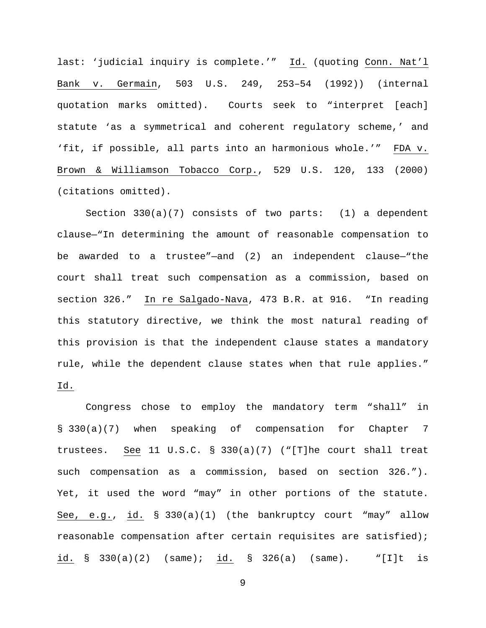last: 'judicial inquiry is complete.'" Id. (quoting Conn. Nat'l Bank v. Germain, 503 U.S. 249, 253–54 (1992)) (internal quotation marks omitted). Courts seek to "interpret [each] statute 'as a symmetrical and coherent regulatory scheme,' and 'fit, if possible, all parts into an harmonious whole.'" FDA v. Brown & Williamson Tobacco Corp., 529 U.S. 120, 133 (2000) (citations omitted).

Section 330(a)(7) consists of two parts: (1) a dependent clause—"In determining the amount of reasonable compensation to be awarded to a trustee"—and (2) an independent clause—"the court shall treat such compensation as a commission, based on section 326." In re Salgado-Nava, 473 B.R. at 916. "In reading this statutory directive, we think the most natural reading of this provision is that the independent clause states a mandatory rule, while the dependent clause states when that rule applies." Id.

Congress chose to employ the mandatory term "shall" in § 330(a)(7) when speaking of compensation for Chapter 7 trustees. See 11 U.S.C. § 330(a)(7) ("[T]he court shall treat such compensation as a commission, based on section 326."). Yet, it used the word "may" in other portions of the statute. See, e.g., id. § 330(a)(1) (the bankruptcy court "may" allow reasonable compensation after certain requisites are satisfied); id. § 330(a)(2) (same); id. § 326(a) (same). "[I]t is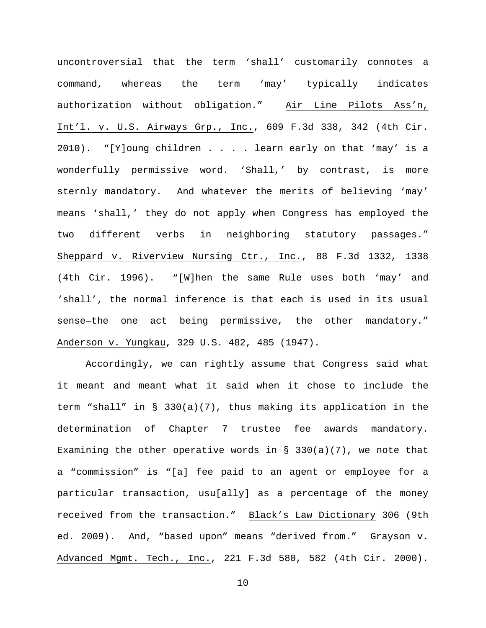uncontroversial that the term 'shall' customarily connotes a command, whereas the term 'may' typically indicates authorization without obligation." Air Line Pilots Ass'n, Int'l. v. U.S. Airways Grp., Inc., 609 F.3d 338, 342 (4th Cir. 2010). "[Y]oung children . . . . learn early on that 'may' is a wonderfully permissive word. 'Shall,' by contrast, is more sternly mandatory. And whatever the merits of believing 'may' means 'shall,' they do not apply when Congress has employed the two different verbs in neighboring statutory passages." Sheppard v. Riverview Nursing Ctr., Inc., 88 F.3d 1332, 1338 (4th Cir. 1996). "[W]hen the same Rule uses both 'may' and 'shall', the normal inference is that each is used in its usual sense—the one act being permissive, the other mandatory." Anderson v. Yungkau, 329 U.S. 482, 485 (1947).

Accordingly, we can rightly assume that Congress said what it meant and meant what it said when it chose to include the term "shall" in § 330(a)(7), thus making its application in the determination of Chapter 7 trustee fee awards mandatory. Examining the other operative words in  $\S$  330(a)(7), we note that a "commission" is "[a] fee paid to an agent or employee for a particular transaction, usu[ally] as a percentage of the money received from the transaction." Black's Law Dictionary 306 (9th ed. 2009). And, "based upon" means "derived from." Grayson v. Advanced Mgmt. Tech., Inc., 221 F.3d 580, 582 (4th Cir. 2000).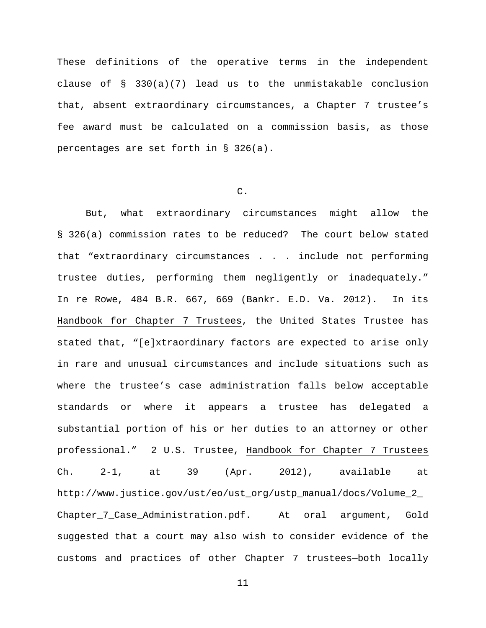These definitions of the operative terms in the independent clause of § 330(a)(7) lead us to the unmistakable conclusion that, absent extraordinary circumstances, a Chapter 7 trustee's fee award must be calculated on a commission basis, as those percentages are set forth in § 326(a).

## C.

But, what extraordinary circumstances might allow the § 326(a) commission rates to be reduced? The court below stated that "extraordinary circumstances . . . include not performing trustee duties, performing them negligently or inadequately." In re Rowe, 484 B.R. 667, 669 (Bankr. E.D. Va. 2012). In its Handbook for Chapter 7 Trustees, the United States Trustee has stated that, "[e]xtraordinary factors are expected to arise only in rare and unusual circumstances and include situations such as where the trustee's case administration falls below acceptable standards or where it appears a trustee has delegated a substantial portion of his or her duties to an attorney or other professional." 2 U.S. Trustee, Handbook for Chapter 7 Trustees Ch. 2-1, at 39 (Apr. 2012), available at http://www.justice.gov/ust/eo/ust\_org/ustp\_manual/docs/Volume\_2\_ Chapter\_7\_Case\_Administration.pdf. At oral argument, Gold suggested that a court may also wish to consider evidence of the customs and practices of other Chapter 7 trustees—both locally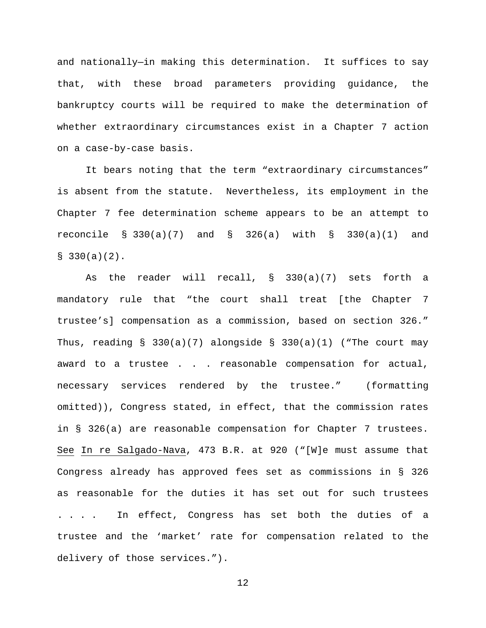and nationally—in making this determination. It suffices to say that, with these broad parameters providing guidance, the bankruptcy courts will be required to make the determination of whether extraordinary circumstances exist in a Chapter 7 action on a case-by-case basis.

It bears noting that the term "extraordinary circumstances" is absent from the statute. Nevertheless, its employment in the Chapter 7 fee determination scheme appears to be an attempt to reconcile § 330(a)(7) and § 326(a) with § 330(a)(1) and  $$330(a)(2)$ .

As the reader will recall, § 330(a)(7) sets forth a mandatory rule that "the court shall treat [the Chapter 7 trustee's] compensation as a commission, based on section 326." Thus, reading  $\S$  330(a)(7) alongside  $\S$  330(a)(1) ("The court may award to a trustee . . . reasonable compensation for actual, necessary services rendered by the trustee." (formatting omitted)), Congress stated, in effect, that the commission rates in § 326(a) are reasonable compensation for Chapter 7 trustees. See In re Salgado-Nava, 473 B.R. at 920 ("[W]e must assume that Congress already has approved fees set as commissions in § 326 as reasonable for the duties it has set out for such trustees . . . . In effect, Congress has set both the duties of a trustee and the 'market' rate for compensation related to the delivery of those services.").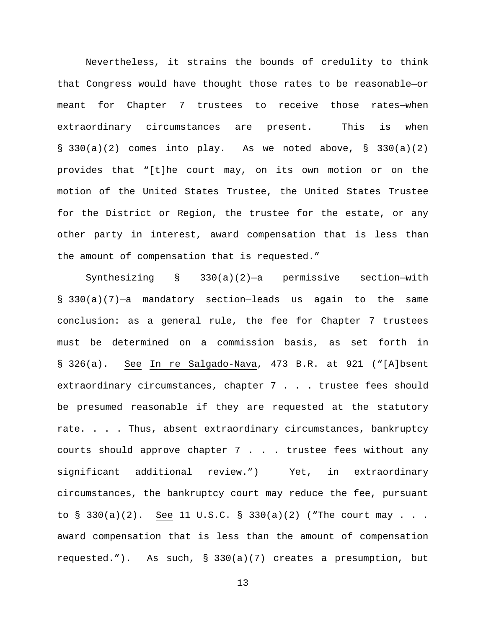Nevertheless, it strains the bounds of credulity to think that Congress would have thought those rates to be reasonable—or meant for Chapter 7 trustees to receive those rates—when extraordinary circumstances are present. This is when § 330(a)(2) comes into play. As we noted above, § 330(a)(2) provides that "[t]he court may, on its own motion or on the motion of the United States Trustee, the United States Trustee for the District or Region, the trustee for the estate, or any other party in interest, award compensation that is less than the amount of compensation that is requested."

Synthesizing § 330(a)(2)—a permissive section—with § 330(a)(7)—a mandatory section—leads us again to the same conclusion: as a general rule, the fee for Chapter 7 trustees must be determined on a commission basis, as set forth in § 326(a). See In re Salgado-Nava, 473 B.R. at 921 ("[A]bsent extraordinary circumstances, chapter 7 . . . trustee fees should be presumed reasonable if they are requested at the statutory rate. . . . Thus, absent extraordinary circumstances, bankruptcy courts should approve chapter 7 . . . trustee fees without any significant additional review.") Yet, in extraordinary circumstances, the bankruptcy court may reduce the fee, pursuant to § 330(a)(2). See 11 U.S.C. § 330(a)(2) ("The court may . . . award compensation that is less than the amount of compensation requested."). As such, § 330(a)(7) creates a presumption, but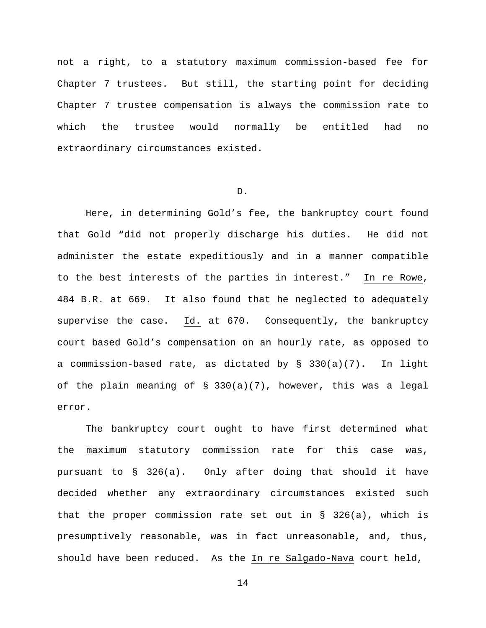not a right, to a statutory maximum commission-based fee for Chapter 7 trustees. But still, the starting point for deciding Chapter 7 trustee compensation is always the commission rate to which the trustee would normally be entitled had no extraordinary circumstances existed.

#### D.

Here, in determining Gold's fee, the bankruptcy court found that Gold "did not properly discharge his duties. He did not administer the estate expeditiously and in a manner compatible to the best interests of the parties in interest." In re Rowe, 484 B.R. at 669. It also found that he neglected to adequately supervise the case. Id. at 670. Consequently, the bankruptcy court based Gold's compensation on an hourly rate, as opposed to a commission-based rate, as dictated by  $\S$  330(a)(7). In light of the plain meaning of § 330(a)(7), however, this was a legal error.

The bankruptcy court ought to have first determined what the maximum statutory commission rate for this case was, pursuant to § 326(a). Only after doing that should it have decided whether any extraordinary circumstances existed such that the proper commission rate set out in § 326(a), which is presumptively reasonable, was in fact unreasonable, and, thus, should have been reduced. As the In re Salgado-Nava court held,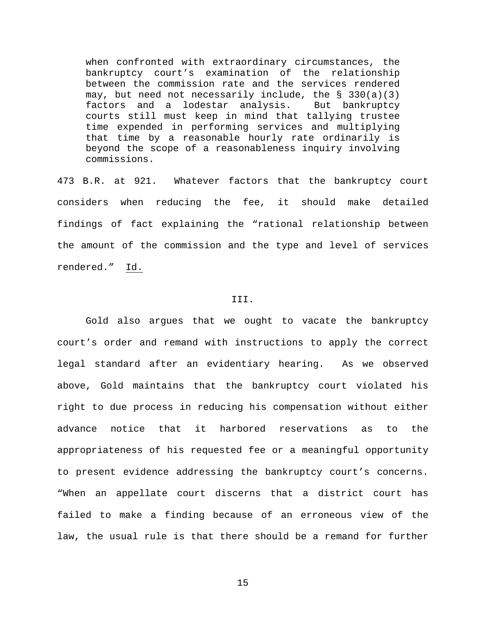when confronted with extraordinary circumstances, the bankruptcy court's examination of the relationship between the commission rate and the services rendered may, but need not necessarily include, the § 330(a)(3)<br>factors and a lodestar analysis. But bankruptcy factors and a lodestar analysis. courts still must keep in mind that tallying trustee time expended in performing services and multiplying that time by a reasonable hourly rate ordinarily is beyond the scope of a reasonableness inquiry involving commissions.

473 B.R. at 921. Whatever factors that the bankruptcy court considers when reducing the fee, it should make detailed findings of fact explaining the "rational relationship between the amount of the commission and the type and level of services rendered." Id.

#### III.

Gold also argues that we ought to vacate the bankruptcy court's order and remand with instructions to apply the correct legal standard after an evidentiary hearing. As we observed above, Gold maintains that the bankruptcy court violated his right to due process in reducing his compensation without either advance notice that it harbored reservations as to the appropriateness of his requested fee or a meaningful opportunity to present evidence addressing the bankruptcy court's concerns. "When an appellate court discerns that a district court has failed to make a finding because of an erroneous view of the law, the usual rule is that there should be a remand for further